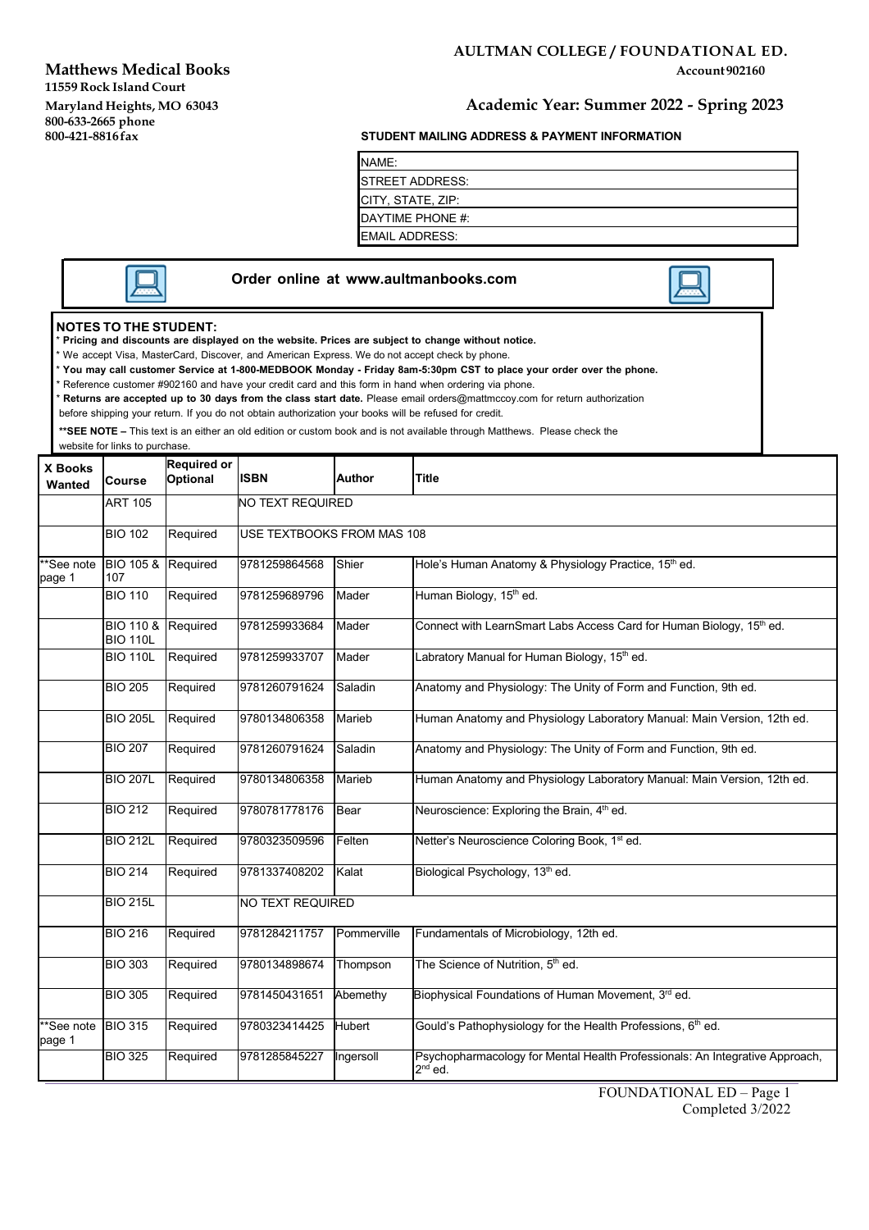**Matthews Medical Books Account 902160 Account 902160 Account 902160 11559 Rock Island Court Maryland Heights, MO 63043 Academic Year: Summer 2022 - Spring 2023**

### **AULTMAN COLLEGE / FOUNDATIONAL ED.**

### **800-633-2665 phone 800-421-8816fax STUDENT MAILING ADDRESS & PAYMENT INFORMATION**

| NAME:                    |  |
|--------------------------|--|
| <b>ISTREET ADDRESS:</b>  |  |
| <b>CITY, STATE, ZIP:</b> |  |
| DAYTIME PHONE #:         |  |
| <b>EMAIL ADDRESS:</b>    |  |

|  |  | <b>NOTES TO THE STUDENT:</b> |  |
|--|--|------------------------------|--|
|  |  |                              |  |

NOTES TO THE STUDENT:<br>\* Pricing and discounts are displayed on the website. Prices are subject to change without notice.

\* We accept Visa, MasterCard, Discover, and American Express. We do not accept check by phone.

\* You may call customer Service at 1-800-MEDBOOK Monday - Friday 8am-5:30pm CST to place your order over the phone.

**Order online at [www.aultmanbooks.com](http://www.aultmanbooks.com/)**

\* Reference customer #902160 and have your credit card and this form in hand when ordering via phone.

\* **Returns are accepted up to 30 days from the class start date.** Please email [orders@mattmccoy.com](mailto:orders@mattmccoy.com) for return authorization

before shipping your return. If you do not obtain authorization your books will be refused for credit.

**\*\*SEE NOTE –** This text is an either an old edition or custom book and is not available through Matthews. Please check the

website for links to purchase.

| X Books              |                                  | <b>Required or</b> |                            |               |                                                                                           |
|----------------------|----------------------------------|--------------------|----------------------------|---------------|-------------------------------------------------------------------------------------------|
| Wanted               | Course                           | <b>Optional</b>    | <b>ISBN</b>                | <b>Author</b> | <b>Title</b>                                                                              |
|                      | <b>ART 105</b>                   |                    | <b>NO TEXT REQUIRED</b>    |               |                                                                                           |
|                      | <b>BIO 102</b>                   | Required           | USE TEXTBOOKS FROM MAS 108 |               |                                                                                           |
| **See note<br>page 1 | <b>BIO 105 &amp;</b><br>107      | Required           | 9781259864568              | Shier         | Hole's Human Anatomy & Physiology Practice, 15 <sup>th</sup> ed.                          |
|                      | <b>BIO 110</b>                   | Required           | 9781259689796              | Mader         | Human Biology, 15 <sup>th</sup> ed.                                                       |
|                      | <b>BIO 110 &amp;</b><br>BIO 110L | Required           | 9781259933684              | Mader         | Connect with LearnSmart Labs Access Card for Human Biology, 15th ed.                      |
|                      | <b>BIO 110L</b>                  | Required           | 9781259933707              | Mader         | Labratory Manual for Human Biology, 15 <sup>th</sup> ed.                                  |
|                      | <b>BIO 205</b>                   | Required           | 9781260791624              | Saladin       | Anatomy and Physiology: The Unity of Form and Function, 9th ed.                           |
|                      | <b>BIO 205L</b>                  | Required           | 9780134806358              | Marieb        | Human Anatomy and Physiology Laboratory Manual: Main Version, 12th ed.                    |
|                      | <b>BIO 207</b>                   | Required           | 9781260791624              | Saladin       | Anatomy and Physiology: The Unity of Form and Function, 9th ed.                           |
|                      | <b>BIO 207L</b>                  | Required           | 9780134806358              | Marieb        | Human Anatomy and Physiology Laboratory Manual: Main Version, 12th ed.                    |
|                      | <b>BIO 212</b>                   | Required           | 9780781778176              | <b>Bear</b>   | Neuroscience: Exploring the Brain, 4 <sup>th</sup> ed.                                    |
|                      | <b>BIO 212L</b>                  | Required           | 9780323509596              | Felten        | Netter's Neuroscience Coloring Book, 1 <sup>st</sup> ed.                                  |
|                      | <b>BIO 214</b>                   | Required           | 9781337408202              | Kalat         | Biological Psychology, 13 <sup>th</sup> ed.                                               |
|                      | <b>BIO 215L</b>                  |                    | <b>NO TEXT REQUIRED</b>    |               |                                                                                           |
|                      | <b>BIO 216</b>                   | Required           | 9781284211757              | Pommerville   | Fundamentals of Microbiology, 12th ed.                                                    |
|                      | <b>BIO 303</b>                   | Required           | 9780134898674              | Thompson      | The Science of Nutrition, 5 <sup>th</sup> ed.                                             |
|                      | <b>BIO 305</b>                   | Required           | 9781450431651              | Abemethy      | Biophysical Foundations of Human Movement, 3rd ed.                                        |
| **See note<br>page 1 | <b>BIO 315</b>                   | Required           | 9780323414425              | <b>Hubert</b> | Gould's Pathophysiology for the Health Professions, 6 <sup>th</sup> ed.                   |
|                      | <b>BIO 325</b>                   | Required           | 9781285845227              | Ingersoll     | Psychopharmacology for Mental Health Professionals: An Integrative Approach,<br>$2nd$ ed. |

FOUNDATIONAL ED – Page 1 Completed 3/2022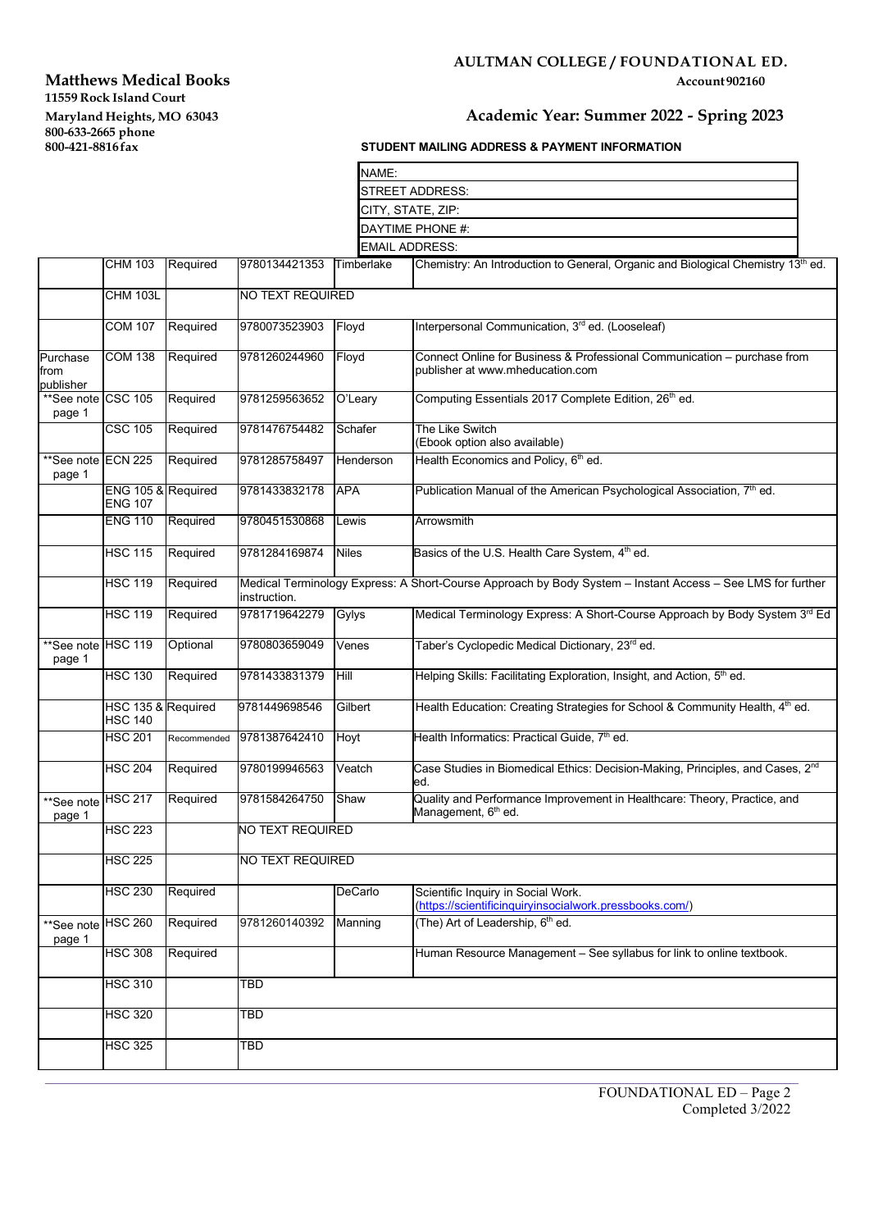# **Matthews Medical Books 11559 Rock Island Court Maryland Heights, MO 63043 Academic Year: Summer 2022 - Spring 2023**

# **AULTMAN COLLEGE / FOUNDATIONAL ED.**

## **800-633-2015 STUDENT MAILING ADDRESS & PAYMENT INFORMATION**

|                               |                                      |             |                                                                                                                            | NAME:        |                                                                                                              |
|-------------------------------|--------------------------------------|-------------|----------------------------------------------------------------------------------------------------------------------------|--------------|--------------------------------------------------------------------------------------------------------------|
|                               |                                      |             |                                                                                                                            |              | STREET ADDRESS:                                                                                              |
|                               |                                      |             |                                                                                                                            |              | CITY, STATE, ZIP:                                                                                            |
|                               |                                      |             |                                                                                                                            |              | DAYTIME PHONE #:                                                                                             |
|                               |                                      |             |                                                                                                                            |              | <b>EMAIL ADDRESS:</b>                                                                                        |
|                               | <b>CHM 103</b>                       | Required    | 9780134421353                                                                                                              | Timberlake   | Chemistry: An Introduction to General, Organic and Biological Chemistry $13th$ ed.                           |
|                               | <b>CHM 103L</b>                      |             | NO TEXT REQUIRED                                                                                                           |              |                                                                                                              |
|                               | <b>COM 107</b>                       | Required    | 9780073523903                                                                                                              | Floyd        | Interpersonal Communication, 3rd ed. (Looseleaf)                                                             |
| Purchase<br>from<br>publisher | <b>COM 138</b>                       | Required    | 9781260244960                                                                                                              | Floyd        | Connect Online for Business & Professional Communication - purchase from<br>publisher at www.mheducation.com |
| **See note CSC 105<br>page 1  |                                      | Required    | 9781259563652                                                                                                              | O'Leary      | Computing Essentials 2017 Complete Edition, 26th ed.                                                         |
|                               | <b>CSC 105</b>                       | Required    | 9781476754482                                                                                                              | Schafer      | The Like Switch<br>(Ebook option also available)                                                             |
| **See note ECN 225<br>page 1  |                                      | Required    | 9781285758497                                                                                                              | Henderson    | Health Economics and Policy, 6th ed.                                                                         |
|                               | ENG 105 & Required<br><b>ENG 107</b> |             | 9781433832178                                                                                                              | <b>APA</b>   | Publication Manual of the American Psychological Association, 7 <sup>th</sup> ed.                            |
|                               | <b>ENG 110</b>                       | Required    | 9780451530868                                                                                                              | Lewis        | Arrowsmith                                                                                                   |
|                               | <b>HSC 115</b>                       | Required    | 9781284169874                                                                                                              | <b>Niles</b> | Basics of the U.S. Health Care System, 4 <sup>th</sup> ed.                                                   |
|                               | <b>HSC 119</b>                       | Required    | Medical Terminology Express: A Short-Course Approach by Body System - Instant Access - See LMS for further<br>instruction. |              |                                                                                                              |
|                               | <b>HSC 119</b>                       | Required    | 9781719642279                                                                                                              | Gylys        | Medical Terminology Express: A Short-Course Approach by Body System 3rd Ed                                   |
| **See note HSC 119<br>page 1  |                                      | Optional    | 9780803659049                                                                                                              | Venes        | Taber's Cyclopedic Medical Dictionary, 23rd ed.                                                              |
|                               | <b>HSC 130</b>                       | Required    | 9781433831379                                                                                                              | Hill         | Helping Skills: Facilitating Exploration, Insight, and Action, 5 <sup>th</sup> ed.                           |
|                               | HSC 135 & Required<br><b>HSC 140</b> |             | 9781449698546                                                                                                              | Gilbert      | Health Education: Creating Strategies for School & Community Health, 4th ed.                                 |
|                               | <b>HSC 201</b>                       | Recommended | 9781387642410                                                                                                              | Hoyt         | Health Informatics: Practical Guide, 7th ed.                                                                 |
|                               | <b>HSC 204</b>                       | Required    | 9780199946563                                                                                                              | Veatch       | Case Studies in Biomedical Ethics: Decision-Making, Principles, and Cases, 2 <sup>nd</sup><br>ed.            |
| **See note HSC 217<br>page 1  |                                      | Required    | 9781584264750                                                                                                              | Shaw         | Quality and Performance Improvement in Healthcare: Theory, Practice, and<br>Management, 6 <sup>th</sup> ed.  |
|                               | <b>HSC 223</b>                       |             | NO TEXT REQUIRED                                                                                                           |              |                                                                                                              |
|                               | <b>HSC 225</b>                       |             | NO TEXT REQUIRED                                                                                                           |              |                                                                                                              |
|                               | <b>HSC 230</b>                       | Required    |                                                                                                                            | DeCarlo      | Scientific Inquiry in Social Work.<br>(https://scientificinquiryinsocialwork.pressbooks.com/)                |
| **See note HSC 260<br>page 1  |                                      | Required    | 9781260140392                                                                                                              | Manning      | (The) Art of Leadership, 6 <sup>th</sup> ed.                                                                 |
|                               | <b>HSC 308</b>                       | Required    |                                                                                                                            |              | Human Resource Management - See syllabus for link to online textbook.                                        |
|                               | <b>HSC 310</b>                       |             | TBD                                                                                                                        |              |                                                                                                              |
|                               | <b>HSC 320</b>                       |             | <b>TBD</b>                                                                                                                 |              |                                                                                                              |
|                               | <b>HSC 325</b>                       |             | TBD                                                                                                                        |              |                                                                                                              |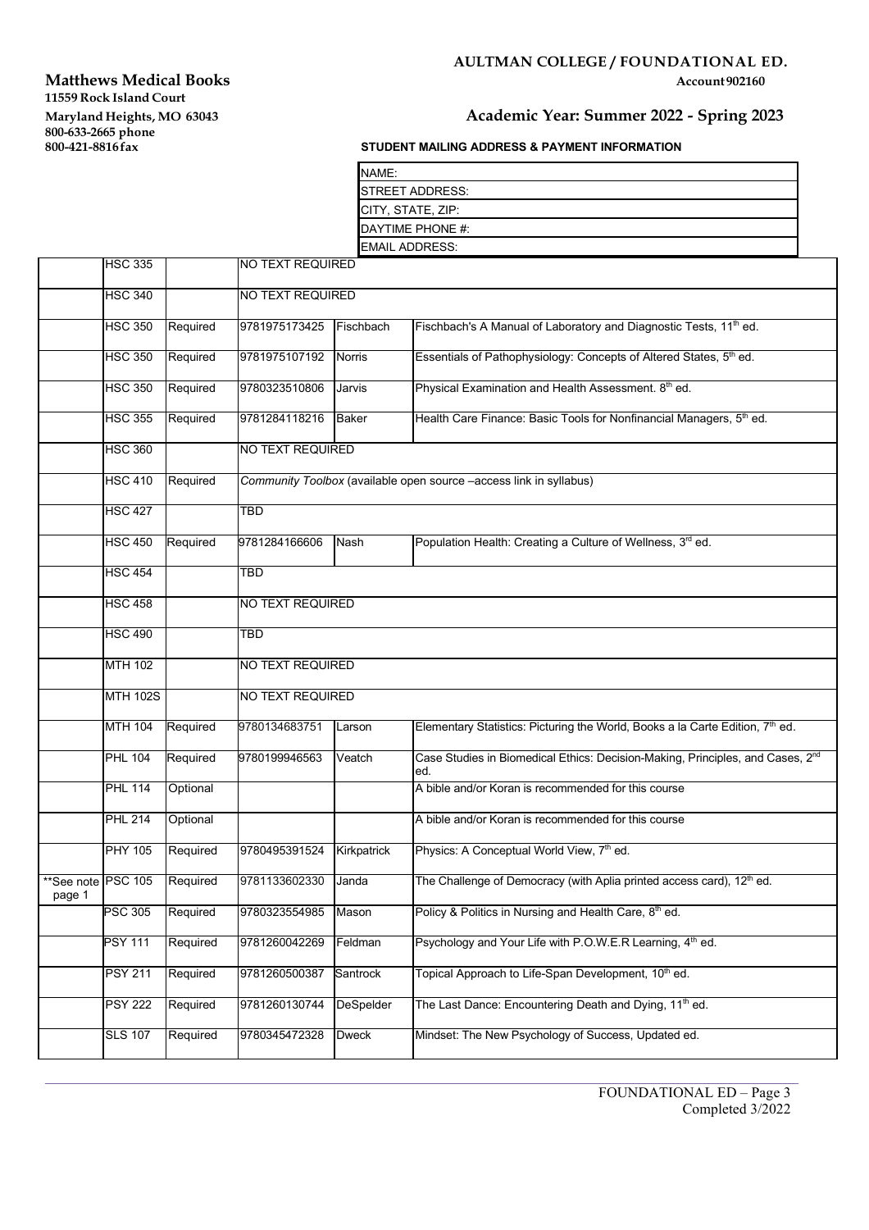# **Matthews Medical Books 11559 Rock Island Court Maryland Heights, MO 63043 Academic Year: Summer 2022 - Spring 2023**

# **AULTMAN COLLEGE / FOUNDATIONAL ED.**

### **87UDENT MAILING ADDRESS & PAYMENT INFORMATION**

| NAME:                    |  |
|--------------------------|--|
| <b>ISTREET ADDRESS:</b>  |  |
| <b>CITY, STATE, ZIP:</b> |  |
| DAYTIME PHONE #:         |  |
| <b>EMAIL ADDRESS:</b>    |  |

|                              | <b>HSC 335</b>  |          | <b>NO TEXT REQUIRED</b> |              |                                                                                                   |  |  |
|------------------------------|-----------------|----------|-------------------------|--------------|---------------------------------------------------------------------------------------------------|--|--|
|                              | <b>HSC 340</b>  |          | <b>NO TEXT REQUIRED</b> |              |                                                                                                   |  |  |
|                              | <b>HSC 350</b>  | Required | 9781975173425           | Fischbach    | Fischbach's A Manual of Laboratory and Diagnostic Tests, 11 <sup>th</sup> ed.                     |  |  |
|                              | <b>HSC 350</b>  | Required | 9781975107192           | Norris       | Essentials of Pathophysiology: Concepts of Altered States, 5th ed.                                |  |  |
|                              | <b>HSC 350</b>  | Required | 9780323510806           | Jarvis       | Physical Examination and Health Assessment. 8th ed.                                               |  |  |
|                              | <b>HSC 355</b>  | Required | 9781284118216           | <b>Baker</b> | Health Care Finance: Basic Tools for Nonfinancial Managers, 5 <sup>th</sup> ed.                   |  |  |
|                              | <b>HSC 360</b>  |          | <b>NO TEXT REQUIRED</b> |              |                                                                                                   |  |  |
|                              | <b>HSC 410</b>  | Required |                         |              | Community Toolbox (available open source -access link in syllabus)                                |  |  |
|                              | <b>HSC 427</b>  |          | <b>TBD</b>              |              |                                                                                                   |  |  |
|                              | <b>HSC 450</b>  | Required | 9781284166606           | Nash         | Population Health: Creating a Culture of Wellness, 3rd ed.                                        |  |  |
|                              | <b>HSC 454</b>  |          | TBD                     |              |                                                                                                   |  |  |
|                              | <b>HSC 458</b>  |          | NO TEXT REQUIRED        |              |                                                                                                   |  |  |
|                              | <b>HSC 490</b>  |          | <b>TBD</b>              |              |                                                                                                   |  |  |
|                              | <b>MTH 102</b>  |          | NO TEXT REQUIRED        |              |                                                                                                   |  |  |
|                              | <b>MTH 102S</b> |          | NO TEXT REQUIRED        |              |                                                                                                   |  |  |
|                              | <b>MTH 104</b>  | Required | 9780134683751           | Larson       | Elementary Statistics: Picturing the World, Books a la Carte Edition, 7 <sup>th</sup> ed.         |  |  |
|                              | <b>PHL 104</b>  | Required | 9780199946563           | Veatch       | Case Studies in Biomedical Ethics: Decision-Making, Principles, and Cases, 2 <sup>nd</sup><br>ed. |  |  |
|                              | <b>PHL 114</b>  | Optional |                         |              | A bible and/or Koran is recommended for this course                                               |  |  |
|                              | <b>PHL 214</b>  | Optional |                         |              | A bible and/or Koran is recommended for this course                                               |  |  |
|                              | <b>PHY 105</b>  | Required | 9780495391524           | Kirkpatrick  | Physics: A Conceptual World View, 7 <sup>th</sup> ed.                                             |  |  |
| **See note PSC 105<br>page 1 |                 | Required | 9781133602330           | Janda        | The Challenge of Democracy (with Aplia printed access card), 12 <sup>th</sup> ed.                 |  |  |
|                              | <b>PSC 305</b>  | Required | 9780323554985 Mason     |              | Policy & Politics in Nursing and Health Care, 8th ed.                                             |  |  |
|                              | <b>PSY 111</b>  | Required | 9781260042269           | Feldman      | Psychology and Your Life with P.O.W.E.R Learning, 4 <sup>th</sup> ed.                             |  |  |
|                              | <b>PSY 211</b>  | Required | 9781260500387           | Santrock     | Topical Approach to Life-Span Development, 10 <sup>th</sup> ed.                                   |  |  |
|                              | <b>PSY 222</b>  | Required | 9781260130744           | DeSpelder    | The Last Dance: Encountering Death and Dying, 11 <sup>th</sup> ed.                                |  |  |
|                              | <b>SLS 107</b>  | Required | 9780345472328           | <b>Dweck</b> | Mindset: The New Psychology of Success, Updated ed.                                               |  |  |
|                              |                 |          |                         |              |                                                                                                   |  |  |